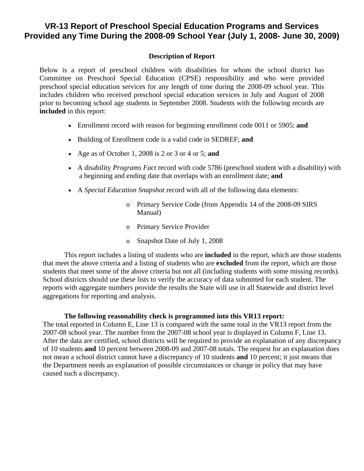## **VR-13 Report of Preschool Special Education Programs and Services Provided any Time During the 2008-09 School Year (July 1, 2008- June 30, 2009)**

## **Description of Report**

Below is a report of preschool children with disabilities for whom the school district has Committee on Preschool Special Education (CPSE) responsibility and who were provided preschool special education services for any length of time during the 2008-09 school year. This includes children who received preschool special education services in July and August of 2008 prior to becoming school age students in September 2008. Students with the following records are **included** in this report:

- Enrollment record with reason for beginning enrollment code 0011 or 5905; **and**
- Building of Enrollment code is a valid code in SEDREF; **and**
- Age as of October 1, 2008 is 2 or 3 or 4 or 5; **and**
- A disability *Programs Fact* record with code 5786 (preschool student with a disability) with a beginning and ending date that overlaps with an enrollment date; **and**
- A *Special Education Snapshot* record with all of the following data elements:
	- o Primary Service Code (from Appendix 14 of the 2008-09 SIRS Manual)
	- o Primary Service Provider
	- o Snapshot Date of July 1, 2008

This report includes a listing of students who are **included** in the report, which are those students that meet the above criteria and a listing of students who are **excluded** from the report, which are those students that meet some of the above criteria but not all (including students with some missing records). School districts should use these lists to verify the accuracy of data submitted for each student. The reports with aggregate numbers provide the results the State will use in all Statewide and district level aggregations for reporting and analysis.

## **The following reasonability check is programmed into this VR13 report:**

The total reported in Column E, Line 13 is compared with the same total in the VR13 report from the 2007-08 school year. The number from the 2007-08 school year is displayed in Column F, Line 13. After the data are certified, school districts will be required to provide an explanation of any discrepancy of 10 students **and** 10 percent between 2008-09 and 2007-08 totals. The request for an explanation does not mean a school district cannot have a discrepancy of 10 students **and** 10 percent; it just means that the Department needs an explanation of possible circumstances or change in policy that may have caused such a discrepancy.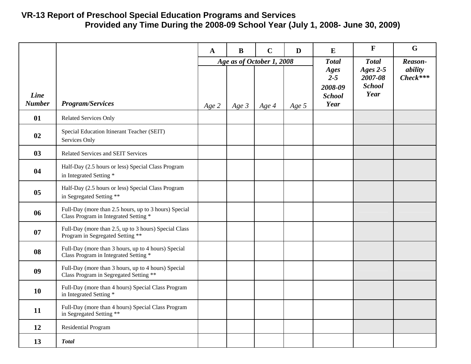## **VR-13 Report of Preschool Special Education Programs and Services Provided any Time During the 2008-09 School Year (July 1, 2008- June 30, 2009)**

|                       |                                                                                                | $\mathbf A$ | $\bf{B}$ | $\mathbf C$                        | D     | E                                                                          | $\mathbf F$                                                    | $\mathbf G$                      |
|-----------------------|------------------------------------------------------------------------------------------------|-------------|----------|------------------------------------|-------|----------------------------------------------------------------------------|----------------------------------------------------------------|----------------------------------|
| Line<br><b>Number</b> | <b>Program/Services</b>                                                                        | Age 2       | $Age\,3$ | Age as of October 1, 2008<br>Age 4 | Age 5 | <b>Total</b><br><b>Ages</b><br>$2 - 5$<br>2008-09<br><b>School</b><br>Year | <b>Total</b><br>Ages $2-5$<br>2007-08<br><b>School</b><br>Year | Reason-<br>ability<br>$Check***$ |
| 01                    | Related Services Only                                                                          |             |          |                                    |       |                                                                            |                                                                |                                  |
| 02                    | Special Education Itinerant Teacher (SEIT)<br>Services Only                                    |             |          |                                    |       |                                                                            |                                                                |                                  |
| 03                    | Related Services and SEIT Services                                                             |             |          |                                    |       |                                                                            |                                                                |                                  |
| 04                    | Half-Day (2.5 hours or less) Special Class Program<br>in Integrated Setting *                  |             |          |                                    |       |                                                                            |                                                                |                                  |
| 0 <sub>5</sub>        | Half-Day (2.5 hours or less) Special Class Program<br>in Segregated Setting **                 |             |          |                                    |       |                                                                            |                                                                |                                  |
| 06                    | Full-Day (more than 2.5 hours, up to 3 hours) Special<br>Class Program in Integrated Setting * |             |          |                                    |       |                                                                            |                                                                |                                  |
| 07                    | Full-Day (more than 2.5, up to 3 hours) Special Class<br>Program in Segregated Setting **      |             |          |                                    |       |                                                                            |                                                                |                                  |
| 08                    | Full-Day (more than 3 hours, up to 4 hours) Special<br>Class Program in Integrated Setting *   |             |          |                                    |       |                                                                            |                                                                |                                  |
| 09                    | Full-Day (more than 3 hours, up to 4 hours) Special<br>Class Program in Segregated Setting **  |             |          |                                    |       |                                                                            |                                                                |                                  |
| <b>10</b>             | Full-Day (more than 4 hours) Special Class Program<br>in Integrated Setting *                  |             |          |                                    |       |                                                                            |                                                                |                                  |
| 11                    | Full-Day (more than 4 hours) Special Class Program<br>in Segregated Setting **                 |             |          |                                    |       |                                                                            |                                                                |                                  |
| 12                    | Residential Program                                                                            |             |          |                                    |       |                                                                            |                                                                |                                  |
| 13                    | <b>Total</b>                                                                                   |             |          |                                    |       |                                                                            |                                                                |                                  |